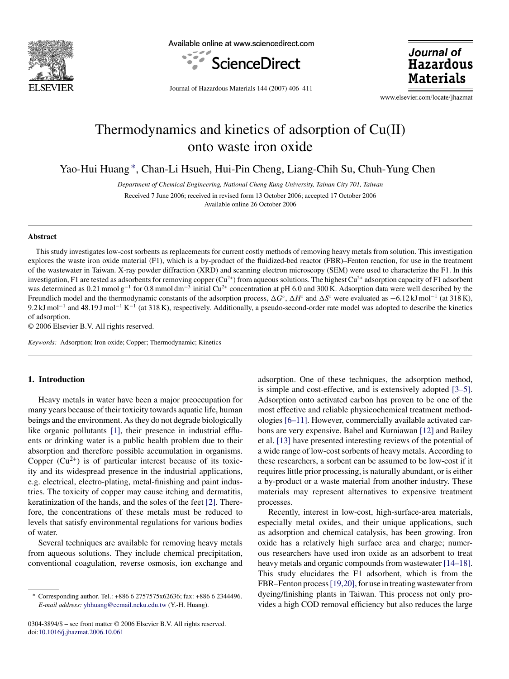

Available online at www.sciencedirect.com



Journal of **Hazardous Materials** 

Journal of Hazardous Materials 144 (2007) 406–411

www.elsevier.com/locate/jhazmat

# Thermodynamics and kinetics of adsorption of Cu(II) onto waste iron oxide

Yao-Hui Huang ∗, Chan-Li Hsueh, Hui-Pin Cheng, Liang-Chih Su, Chuh-Yung Chen

*Department of Chemical Engineering, National Cheng Kung University, Tainan City 701, Taiwan* Received 7 June 2006; received in revised form 13 October 2006; accepted 17 October 2006

Available online 26 October 2006

#### **Abstract**

This study investigates low-cost sorbents as replacements for current costly methods of removing heavy metals from solution. This investigation explores the waste iron oxide material (F1), which is a by-product of the fluidized-bed reactor (FBR)–Fenton reaction, for use in the treatment of the wastewater in Taiwan. X-ray powder diffraction (XRD) and scanning electron microscopy (SEM) were used to characterize the F1. In this investigation, F1 are tested as adsorbents for removing copper  $(Cu^{2+})$  from aqueous solutions. The highest  $Cu^{2+}$  adsorption capacity of F1 adsorbent was determined as 0.21 mmol g<sup>-1</sup> for 0.8 mmol dm<sup>-3</sup> initial Cu<sup>2+</sup> concentration at pH 6.0 and 300 K. Adsorption data were well described by the Freundlich model and the thermodynamic constants of the adsorption process,  $\Delta G^{\circ}$ ,  $\Delta H^{\circ}$  and  $\Delta S^{\circ}$  were evaluated as  $-6.12 \text{ kJ}$  mol<sup>-1</sup> (at 318 K), 9.2 kJ mol<sup>-1</sup> and 48.19 J mol<sup>-1</sup> K<sup>-1</sup> (at 318 K), respectively. Additionally, a pseudo-second-order rate model was adopted to describe the kinetics of adsorption.

© 2006 Elsevier B.V. All rights reserved.

*Keywords:* Adsorption; Iron oxide; Copper; Thermodynamic; Kinetics

# **1. Introduction**

Heavy metals in water have been a major preoccupation for many years because of their toxicity towards aquatic life, human beings and the environment. As they do not degrade biologically like organic pollutants [\[1\],](#page-5-0) their presence in industrial effluents or drinking water is a public health problem due to their absorption and therefore possible accumulation in organisms. Copper  $(Cu^{2+})$  is of particular interest because of its toxicity and its widespread presence in the industrial applications, e.g. electrical, electro-plating, metal-finishing and paint industries. The toxicity of copper may cause itching and dermatitis, keratinization of the hands, and the soles of the feet [\[2\].](#page-5-0) Therefore, the concentrations of these metals must be reduced to levels that satisfy environmental regulations for various bodies of water.

Several techniques are available for removing heavy metals from aqueous solutions. They include chemical precipitation, conventional coagulation, reverse osmosis, ion exchange and

0304-3894/\$ – see front matter © 2006 Elsevier B.V. All rights reserved. doi[:10.1016/j.jhazmat.2006.10.061](dx.doi.org/10.1016/j.jhazmat.2006.10.061)

adsorption. One of these techniques, the adsorption method, is simple and cost-effective, and is extensively adopted [\[3–5\].](#page-5-0) Adsorption onto activated carbon has proven to be one of the most effective and reliable physicochemical treatment methodologies [\[6–11\]. H](#page-5-0)owever, commercially available activated carbons are very expensive. Babel and Kurniawan [\[12\]](#page-5-0) and Bailey et al. [\[13\]](#page-5-0) have presented interesting reviews of the potential of a wide range of low-cost sorbents of heavy metals. According to these researchers, a sorbent can be assumed to be low-cost if it requires little prior processing, is naturally abundant, or is either a by-product or a waste material from another industry. These materials may represent alternatives to expensive treatment processes.

Recently, interest in low-cost, high-surface-area materials, especially metal oxides, and their unique applications, such as adsorption and chemical catalysis, has been growing. Iron oxide has a relatively high surface area and charge; numerous researchers have used iron oxide as an adsorbent to treat heavy metals and organic compounds from wastewater [\[14–18\].](#page-5-0) This study elucidates the F1 adsorbent, which is from the FBR–Fenton process[\[19,20\], f](#page-5-0)or use in treating wastewater from dyeing/finishing plants in Taiwan. This process not only provides a high COD removal efficiency but also reduces the large

<sup>∗</sup> Corresponding author. Tel.: +886 6 2757575x62636; fax: +886 6 2344496. *E-mail address:* [yhhuang@ccmail.ncku.edu.tw](mailto:yhhuang@ccmail.ncku.edu.tw) (Y.-H. Huang).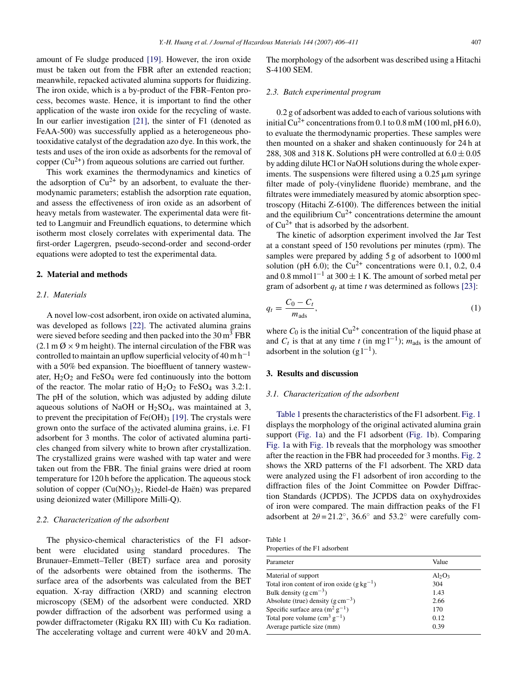amount of Fe sludge produced [\[19\].](#page-5-0) However, the iron oxide must be taken out from the FBR after an extended reaction; meanwhile, repacked activated alumina supports for fluidizing. The iron oxide, which is a by-product of the FBR–Fenton process, becomes waste. Hence, it is important to find the other application of the waste iron oxide for the recycling of waste. In our earlier investigation [\[21\],](#page-5-0) the sinter of F1 (denoted as FeAA-500) was successfully applied as a heterogeneous photooxidative catalyst of the degradation azo dye. In this work, the tests and uses of the iron oxide as adsorbents for the removal of copper  $(Cu^{2+})$  from aqueous solutions are carried out further.

This work examines the thermodynamics and kinetics of the adsorption of  $Cu^{2+}$  by an adsorbent, to evaluate the thermodynamic parameters; establish the adsorption rate equation, and assess the effectiveness of iron oxide as an adsorbent of heavy metals from wastewater. The experimental data were fitted to Langmuir and Freundlich equations, to determine which isotherm most closely correlates with experimental data. The first-order Lagergren, pseudo-second-order and second-order equations were adopted to test the experimental data.

## **2. Material and methods**

# *2.1. Materials*

A novel low-cost adsorbent, iron oxide on activated alumina, was developed as follows [\[22\].](#page-5-0) The activated alumina grains were sieved before seeding and then packed into the  $30 \text{ m}^3$  FBR  $(2.1 \text{ m }\mathcal{O} \times 9 \text{ m} \text{ height})$ . The internal circulation of the FBR was controlled to maintain an upflow superficial velocity of  $40 \text{ m h}^{-1}$ with a 50% bed expansion. The bioeffluent of tannery wastewater,  $H_2O_2$  and  $FeSO_4$  were fed continuously into the bottom of the reactor. The molar ratio of  $H_2O_2$  to FeSO<sub>4</sub> was 3.2:1. The pH of the solution, which was adjusted by adding dilute aqueous solutions of NaOH or  $H<sub>2</sub>SO<sub>4</sub>$ , was maintained at 3, to prevent the precipitation of  $Fe(OH)_{3}$  [\[19\].](#page-5-0) The crystals were grown onto the surface of the activated alumina grains, i.e. F1 adsorbent for 3 months. The color of activated alumina particles changed from silvery white to brown after crystallization. The crystallized grains were washed with tap water and were taken out from the FBR. The finial grains were dried at room temperature for 120 h before the application. The aqueous stock solution of copper  $(Cu(NO<sub>3</sub>)<sub>2</sub>$ , Riedel-de Haën) was prepared using deionized water (Millipore Milli-Q).

#### *2.2. Characterization of the adsorbent*

The physico-chemical characteristics of the F1 adsorbent were elucidated using standard procedures. The Brunauer–Emmett–Teller (BET) surface area and porosity of the adsorbents were obtained from the isotherms. The surface area of the adsorbents was calculated from the BET equation. X-ray diffraction (XRD) and scanning electron microscopy (SEM) of the adsorbent were conducted. XRD powder diffraction of the adsorbent was performed using a powder diffractometer (Rigaku RX III) with Cu K $\alpha$  radiation. The accelerating voltage and current were 40 kV and 20 mA.

The morphology of the adsorbent was described using a Hitachi S-4100 SEM.

#### *2.3. Batch experimental program*

0.2 g of adsorbent was added to each of various solutions with initial Cu<sup>2+</sup> concentrations from 0.1 to 0.8 mM (100 ml, pH 6.0), to evaluate the thermodynamic properties. These samples were then mounted on a shaker and shaken continuously for 24 h at 288, 308 and 318 K. Solutions pH were controlled at  $6.0 \pm 0.05$ by adding dilute HCl or NaOH solutions during the whole experiments. The suspensions were filtered using a  $0.25 \mu m$  syringe filter made of poly-(vinylidene fluoride) membrane, and the filtrates were immediately measured by atomic absorption spectroscopy (Hitachi Z-6100). The differences between the initial and the equilibrium  $Cu^{2+}$  concentrations determine the amount of  $Cu^{2+}$  that is adsorbed by the adsorbent.

The kinetic of adsorption experiment involved the Jar Test at a constant speed of 150 revolutions per minutes (rpm). The samples were prepared by adding 5 g of adsorbent to 1000 ml solution (pH  $6.0$ ); the Cu<sup>2+</sup> concentrations were 0.1, 0.2, 0.4 and 0.8 mmol  $1^{-1}$  at 300  $\pm$  1 K. The amount of sorbed metal per gram of adsorbent  $q_t$  at time  $t$  was determined as follows [\[23\]:](#page-5-0)

$$
q_t = \frac{C_0 - C_t}{m_{\text{ads}}},\tag{1}
$$

where  $C_0$  is the initial  $Cu^{2+}$  concentration of the liquid phase at and  $C_t$  is that at any time  $t$  (in mg l<sup>-1</sup>);  $m_{ads}$  is the amount of adsorbent in the solution  $(g l^{-1})$ .

### **3. Results and discussion**

### *3.1. Characterization of the adsorbent*

Table 1 presents the characteristics of the F1 adsorbent. [Fig. 1](#page-2-0) displays the morphology of the original activated alumina grain support ([Fig. 1a](#page-2-0)) and the F1 adsorbent ([Fig. 1b](#page-2-0)). Comparing [Fig. 1a](#page-2-0) with [Fig. 1b](#page-2-0) reveals that the morphology was smoother after the reaction in the FBR had proceeded for 3 months. [Fig. 2](#page-2-0) shows the XRD patterns of the F1 adsorbent. The XRD data were analyzed using the F1 adsorbent of iron according to the diffraction files of the Joint Committee on Powder Diffraction Standards (JCPDS). The JCPDS data on oxyhydroxides of iron were compared. The main diffraction peaks of the F1 adsorbent at  $2\theta = 21.2^\circ$ , 36.6 $\circ$  and 53.2 $\circ$  were carefully com-

| rabie i                        |  |
|--------------------------------|--|
| Properties of the F1 adsorbent |  |

 $T_{\rm T}$  11  $\pm$ 

| Parameter                                              | Value     |  |
|--------------------------------------------------------|-----------|--|
| Material of support                                    | $Al_2O_3$ |  |
| Total iron content of iron oxide $(g \text{ kg}^{-1})$ | 304       |  |
| Bulk density ( $g \text{ cm}^{-3}$ )                   | 1.43      |  |
| Absolute (true) density $(g \text{ cm}^{-3})$          | 2.66      |  |
| Specific surface area $(m^2 g^{-1})$                   | 170       |  |
| Total pore volume $(cm^3 g^{-1})$                      | 0.12      |  |
| Average particle size (mm)                             | 0.39      |  |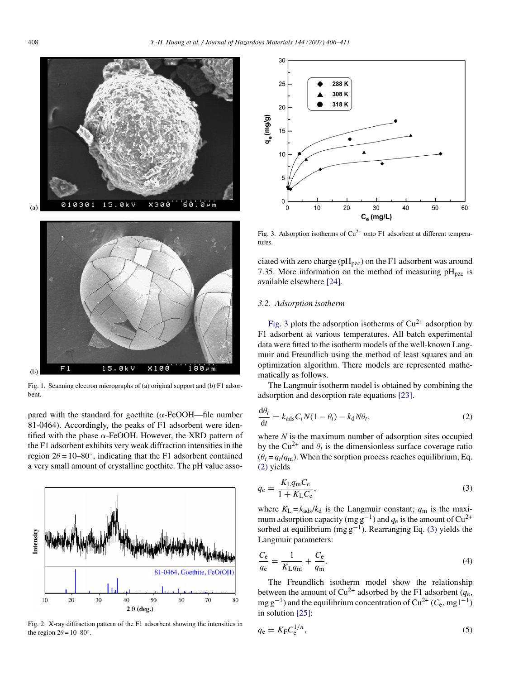<span id="page-2-0"></span>



Fig. 1. Scanning electron micrographs of (a) original support and (b) F1 adsorbent.

pared with the standard for goethite  $(\alpha$ -FeOOH—file number 81-0464). Accordingly, the peaks of F1 adsorbent were identified with the phase  $\alpha$ -FeOOH. However, the XRD pattern of the F1 adsorbent exhibits very weak diffraction intensities in the region  $2\theta = 10-80^\circ$ , indicating that the F1 adsorbent contained a very small amount of crystalline goethite. The pH value asso-



Fig. 2. X-ray diffraction pattern of the F1 adsorbent showing the intensities in the region  $2\theta = 10-80^\circ$ .



Fig. 3. Adsorption isotherms of  $Cu^{2+}$  onto F1 adsorbent at different temperatures.

ciated with zero charge ( $pH<sub>pzc</sub>$ ) on the F1 adsorbent was around 7.35. More information on the method of measuring  $pH_{pzc}$  is available elsewhere [\[24\].](#page-5-0)

# *3.2. Adsorption isotherm*

Fig. 3 plots the adsorption isotherms of  $Cu^{2+}$  adsorption by F1 adsorbent at various temperatures. All batch experimental data were fitted to the isotherm models of the well-known Langmuir and Freundlich using the method of least squares and an optimization algorithm. There models are represented mathematically as follows.

The Langmuir isotherm model is obtained by combining the adsorption and desorption rate equations [\[23\].](#page-5-0)

$$
\frac{d\theta_t}{dt} = k_{ads}C_t N(1 - \theta_t) - k_d N \theta_t,
$$
\n(2)

where *N* is the maximum number of adsorption sites occupied by the Cu<sup>2+</sup> and  $\theta_t$  is the dimensionless surface coverage ratio  $(\theta_t = q_t/q_m)$ . When the sorption process reaches equilibrium, Eq. (2) yields

$$
q_{\rm e} = \frac{K_{\rm L} q_{\rm m} C_{\rm e}}{1 + K_{\rm L} C_{\rm e}},\tag{3}
$$

where  $K_{\text{L}} = k_{\text{ads}}/k_{\text{d}}$  is the Langmuir constant;  $q_{\text{m}}$  is the maximum adsorption capacity (mg g<sup>−1</sup>) and  $q_e$  is the amount of Cu<sup>2+</sup> sorbed at equilibrium (mg  $g^{-1}$ ). Rearranging Eq. (3) yields the Langmuir parameters:

$$
\frac{C_e}{q_e} = \frac{1}{K_L q_m} + \frac{C_e}{q_m}.
$$
\n(4)

The Freundlich isotherm model show the relationship between the amount of  $Cu^{2+}$  adsorbed by the F1 adsorbent ( $q_e$ ) mg g<sup>-1</sup>) and the equilibrium concentration of  $Cu^{2+}$  ( $C_e$ , mg l<sup>-1</sup>) in solution [\[25\]:](#page-5-0)

$$
q_{\rm e} = K_{\rm F} C_{\rm e}^{1/n},\tag{5}
$$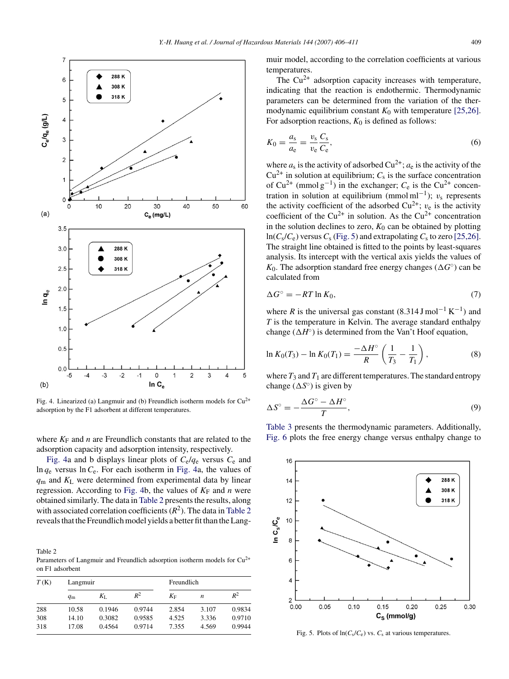

Fig. 4. Linearized (a) Langmuir and (b) Freundlich isotherm models for  $Cu^{2+}$ adsorption by the F1 adsorbent at different temperatures.

where  $K_F$  and *n* are Freundlich constants that are related to the adsorption capacity and adsorption intensity, respectively.

Fig. 4a and b displays linear plots of *C*e/*q*<sup>e</sup> versus *C*<sup>e</sup> and ln *q*<sup>e</sup> versus ln*C*e. For each isotherm in Fig. 4a, the values of *q*<sup>m</sup> and *K*<sup>L</sup> were determined from experimental data by linear regression. According to Fig. 4b, the values of  $K_F$  and *n* were obtained similarly. The data in Table 2 presents the results, along with associated correlation coefficients  $(R^2)$ . The data in Table 2 reveals that the Freundlich model yields a better fit than the Lang-

Table 2 Parameters of Langmuir and Freundlich adsorption isotherm models for Cu<sup>2+</sup> on F1 adsorbent

| T(K) | Langmuir    |             |        | Freundlich  |       |        |
|------|-------------|-------------|--------|-------------|-------|--------|
|      | $q_{\rm m}$ | $K_{\rm L}$ | $R^2$  | $K_{\rm F}$ | n     | $R^2$  |
| 288  | 10.58       | 0.1946      | 0.9744 | 2.854       | 3.107 | 0.9834 |
| 308  | 14.10       | 0.3082      | 0.9585 | 4.525       | 3.336 | 0.9710 |
| 318  | 17.08       | 0.4564      | 0.9714 | 7.355       | 4.569 | 0.9944 |

muir model, according to the correlation coefficients at various temperatures.

The  $Cu^{2+}$  adsorption capacity increases with temperature, indicating that the reaction is endothermic. Thermodynamic parameters can be determined from the variation of the thermodynamic equilibrium constant  $K_0$  with temperature [\[25,26\].](#page-5-0) For adsorption reactions,  $K_0$  is defined as follows:

$$
K_0 = \frac{a_s}{a_e} = \frac{v_s}{v_e} \frac{C_s}{C_e},\tag{6}
$$

where  $a_s$  is the activity of adsorbed  $Cu^{2+}$ ;  $a_e$  is the activity of the  $Cu^{2+}$  in solution at equilibrium;  $C_s$  is the surface concentration of  $Cu^{2+}$  (mmol g<sup>-1</sup>) in the exchanger;  $C_e$  is the  $Cu^{2+}$  concentration in solution at equilibrium (mmol ml<sup>-1</sup>);  $v_s$  represents the activity coefficient of the adsorbed  $Cu^{2+}$ ;  $v_e$  is the activity coefficient of the  $Cu^{2+}$  in solution. As the  $Cu^{2+}$  concentration in the solution declines to zero,  $K_0$  can be obtained by plotting  $ln(C_s/C_e)$  versus  $C_s$  (Fig. 5) and extrapolating  $C_s$  to zero [\[25,26\].](#page-5-0) The straight line obtained is fitted to the points by least-squares analysis. Its intercept with the vertical axis yields the values of  $K_0$ . The adsorption standard free energy changes ( $\Delta G^\circ$ ) can be calculated from

$$
\Delta G^{\circ} = -RT \ln K_0,\tag{7}
$$

where *R* is the universal gas constant  $(8.314 \text{ J mol}^{-1} \text{ K}^{-1})$  and *T* is the temperature in Kelvin. The average standard enthalpy change  $(\Delta H<sup>°</sup>)$  is determined from the Van't Hoof equation,

$$
\ln K_0(T_3) - \ln K_0(T_1) = \frac{-\Delta H^{\circ}}{R} \left( \frac{1}{T_3} - \frac{1}{T_1} \right),\tag{8}
$$

where  $T_3$  and  $T_1$  are different temperatures. The standard entropy change  $(\Delta S^\circ)$  is given by

$$
\Delta S^{\circ} = -\frac{\Delta G^{\circ} - \Delta H^{\circ}}{T},\tag{9}
$$

[Table 3](#page-4-0) presents the thermodynamic parameters. Additionally, [Fig. 6](#page-4-0) plots the free energy change versus enthalpy change to



Fig. 5. Plots of  $ln(C_s/C_e)$  vs.  $C_s$  at various temperatures.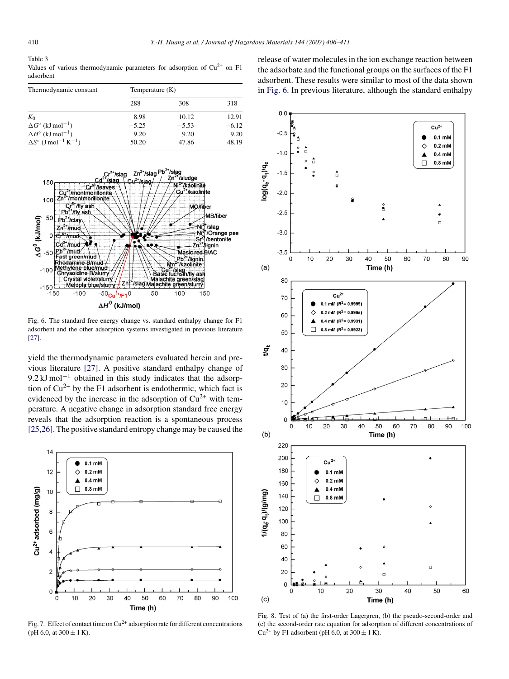<span id="page-4-0"></span>Table 3 Values of various thermodynamic parameters for adsorption of  $Cu^{2+}$  on F1 adsorbent

| Thermodynamic constant                                    | Temperature $(K)$ |         |         |  |
|-----------------------------------------------------------|-------------------|---------|---------|--|
|                                                           | 288               | 308     | 318     |  |
| $K_0$                                                     | 8.98              | 10.12   | 12.91   |  |
| $\Delta G^{\circ}$ (kJ mol <sup>-1</sup> )                | $-5.25$           | $-5.53$ | $-6.12$ |  |
| $\Delta H^{\circ}$ (kJ mol <sup>-1</sup> )                | 9.20              | 9.20    | 9.20    |  |
| $\Delta S^{\circ}$ (J mol <sup>-1</sup> K <sup>-1</sup> ) | 50.20             | 47.86   | 48.19   |  |



Fig. 6. The standard free energy change vs. standard enthalpy change for F1 adsorbent and the other adsorption systems investigated in previous literature [\[27\].](#page-5-0)

yield the thermodynamic parameters evaluated herein and previous literature [\[27\].](#page-5-0) A positive standard enthalpy change of  $9.2 \text{ kJ} \text{ mol}^{-1}$  obtained in this study indicates that the adsorption of  $Cu^{2+}$  by the F1 adsorbent is endothermic, which fact is evidenced by the increase in the adsorption of  $Cu^{2+}$  with temperature. A negative change in adsorption standard free energy reveals that the adsorption reaction is a spontaneous process [\[25,26\]. T](#page-5-0)he positive standard entropy change may be caused the



Fig. 7. Effect of contact time on  $Cu^{2+}$  adsorption rate for different concentrations (pH 6.0, at  $300 \pm 1$  K).

release of water molecules in the ion exchange reaction between the adsorbate and the functional groups on the surfaces of the F1 adsorbent. These results were similar to most of the data shown in Fig. 6. In previous literature, although the standard enthalpy



Fig. 8. Test of (a) the first-order Lagergren, (b) the pseudo-second-order and (c) the second-order rate equation for adsorption of different concentrations of  $Cu^{2+}$  by F1 adsorbent (pH 6.0, at 300  $\pm$  1 K).